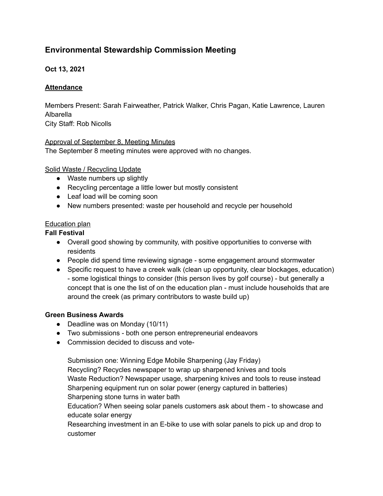# **Environmental Stewardship Commission Meeting**

# **Oct 13, 2021**

## **Attendance**

Members Present: Sarah Fairweather, Patrick Walker, Chris Pagan, Katie Lawrence, Lauren Albarella City Staff: Rob Nicolls

### Approval of September 8, Meeting Minutes

The September 8 meeting minutes were approved with no changes.

### Solid Waste / Recycling Update

- Waste numbers up slightly
- Recycling percentage a little lower but mostly consistent
- Leaf load will be coming soon
- New numbers presented: waste per household and recycle per household

### Education plan

## **Fall Festival**

- Overall good showing by community, with positive opportunities to converse with residents
- People did spend time reviewing signage some engagement around stormwater
- Specific request to have a creek walk (clean up opportunity, clear blockages, education) - some logistical things to consider (this person lives by golf course) - but generally a concept that is one the list of on the education plan - must include households that are around the creek (as primary contributors to waste build up)

### **Green Business Awards**

- Deadline was on Monday (10/11)
- Two submissions both one person entrepreneurial endeavors
- Commission decided to discuss and vote-

Submission one: Winning Edge Mobile Sharpening (Jay Friday) Recycling? Recycles newspaper to wrap up sharpened knives and tools Waste Reduction? Newspaper usage, sharpening knives and tools to reuse instead Sharpening equipment run on solar power (energy captured in batteries) Sharpening stone turns in water bath

Education? When seeing solar panels customers ask about them - to showcase and educate solar energy

Researching investment in an E-bike to use with solar panels to pick up and drop to customer